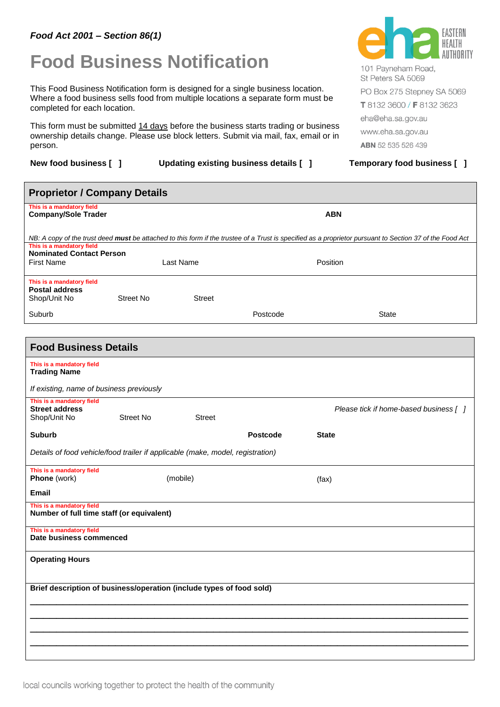## *Food Act 2001 – Section 86(1)*

## **Food Business Notification**

This Food Business Notification form is designed for a single business location. Where a food business sells food from multiple locations a separate form must be completed for each location.

This form must be submitted 14 days before the business starts trading or business ownership details change. Please use block letters. Submit via mail, fax, email or in person.

**New food business [ ] Updating existing business details [ ] Temporary food business [ ]**



101 Pavneham Road. St Peters SA 5069 PO Box 275 Stepney SA 5069 T 8132 3600 / F 8132 3623 eha@eha.sa.gov.au www.eha.sa.gov.au ABN 52 535 526 439

| <b>Proprietor / Company Details</b>                                               |                  |               |                 |                                                                                                                                                          |
|-----------------------------------------------------------------------------------|------------------|---------------|-----------------|----------------------------------------------------------------------------------------------------------------------------------------------------------|
| This is a mandatory field<br><b>Company/Sole Trader</b>                           |                  |               |                 | <b>ABN</b>                                                                                                                                               |
|                                                                                   |                  |               |                 | NB: A copy of the trust deed must be attached to this form if the trustee of a Trust is specified as a proprietor pursuant to Section 37 of the Food Act |
| This is a mandatory field<br><b>Nominated Contact Person</b><br><b>First Name</b> |                  | Last Name     |                 | Position                                                                                                                                                 |
| This is a mandatory field<br><b>Postal address</b><br>Shop/Unit No                | <b>Street No</b> | <b>Street</b> |                 |                                                                                                                                                          |
| Suburb                                                                            |                  |               | Postcode        | State                                                                                                                                                    |
|                                                                                   |                  |               |                 |                                                                                                                                                          |
| <b>Food Business Details</b>                                                      |                  |               |                 |                                                                                                                                                          |
| This is a mandatory field<br><b>Trading Name</b>                                  |                  |               |                 |                                                                                                                                                          |
| If existing, name of business previously                                          |                  |               |                 |                                                                                                                                                          |
| This is a mandatory field<br><b>Street address</b><br>Shop/Unit No                | <b>Street No</b> | <b>Street</b> |                 | Please tick if home-based business [ ]                                                                                                                   |
| <b>Suburb</b>                                                                     |                  |               | <b>Postcode</b> | <b>State</b>                                                                                                                                             |
| Details of food vehicle/food trailer if applicable (make, model, registration)    |                  |               |                 |                                                                                                                                                          |
| This is a mandatory field<br>Phone (work)                                         |                  | (mobile)      |                 | (fax)                                                                                                                                                    |
| <b>Email</b>                                                                      |                  |               |                 |                                                                                                                                                          |
| This is a mandatory field<br>Number of full time staff (or equivalent)            |                  |               |                 |                                                                                                                                                          |
| This is a mandatory field<br>Date business commenced                              |                  |               |                 |                                                                                                                                                          |
| <b>Operating Hours</b>                                                            |                  |               |                 |                                                                                                                                                          |
| Brief description of business/operation (include types of food sold)              |                  |               |                 |                                                                                                                                                          |
|                                                                                   |                  |               |                 |                                                                                                                                                          |
|                                                                                   |                  |               |                 |                                                                                                                                                          |
|                                                                                   |                  |               |                 |                                                                                                                                                          |
|                                                                                   |                  |               |                 |                                                                                                                                                          |